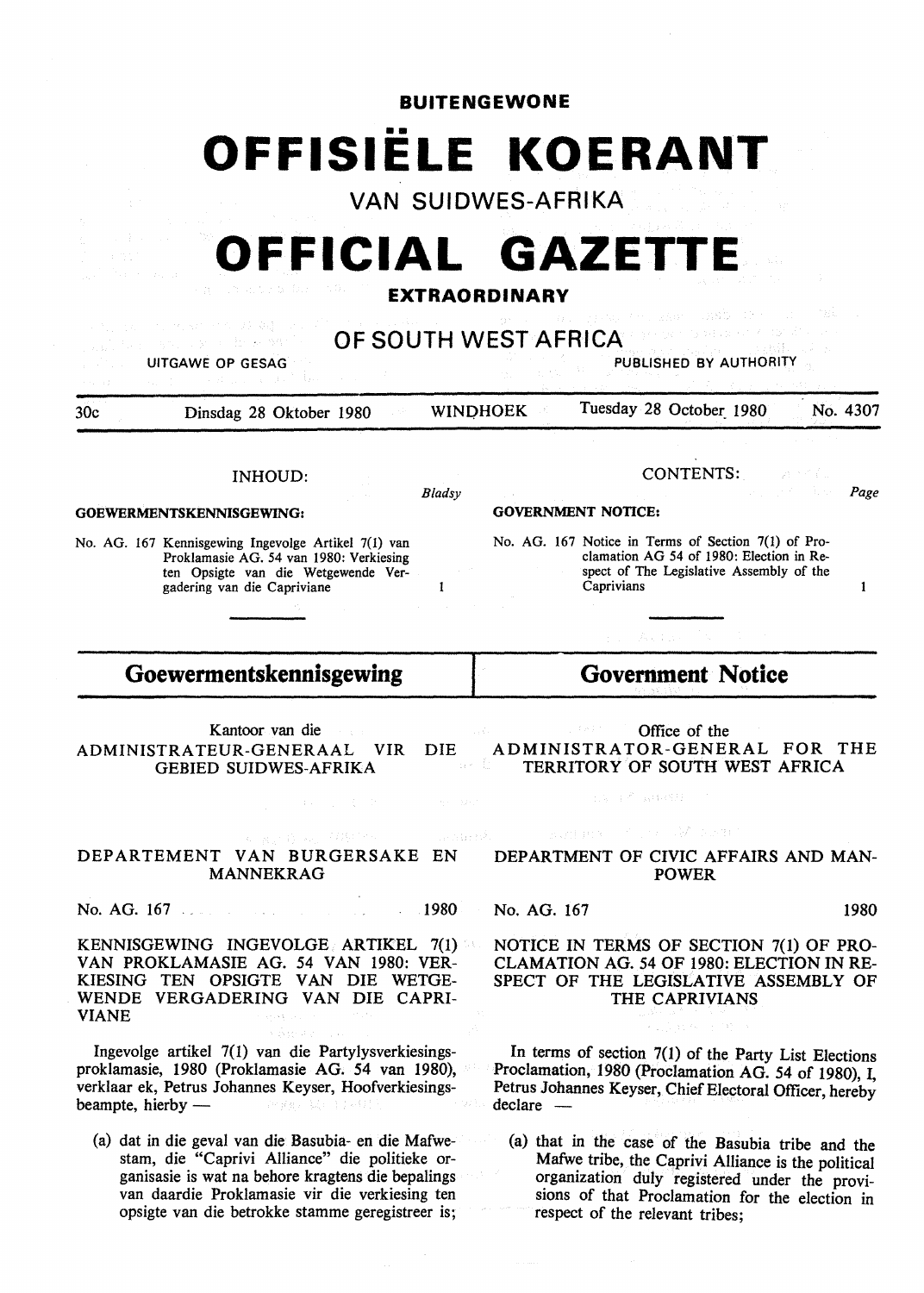| <b>BUITENGEWONE</b>                                                                                                                                                                                                            |                                                                                                                                                                                                 |  |  |  |  |
|--------------------------------------------------------------------------------------------------------------------------------------------------------------------------------------------------------------------------------|-------------------------------------------------------------------------------------------------------------------------------------------------------------------------------------------------|--|--|--|--|
|                                                                                                                                                                                                                                | OFFISIELE KOERANT<br><b>VAN SUIDWES-AFRIKA</b>                                                                                                                                                  |  |  |  |  |
|                                                                                                                                                                                                                                | OFFICIAL GAZETTE<br><b>EXTRAORDINARY</b>                                                                                                                                                        |  |  |  |  |
| UITGAWE OP GESAG                                                                                                                                                                                                               | OF SOUTH WEST AFRICA<br>PUBLISHED BY AUTHORITY                                                                                                                                                  |  |  |  |  |
| 30c<br>Dinsdag 28 Oktober 1980                                                                                                                                                                                                 | Tuesday 28 October 1980<br>No. 4307<br><b>WINDHOEK</b>                                                                                                                                          |  |  |  |  |
| <b>INHOUD:</b><br>Bladsy<br>GOEWERMENTSKENNISGEWING:                                                                                                                                                                           | CONTENTS:<br>Page<br><b>GOVERNMENT NOTICE:</b>                                                                                                                                                  |  |  |  |  |
| No. AG. 167 Kennisgewing Ingevolge Artikel 7(1) van<br>Proklamasie AG. 54 van 1980: Verkiesing<br>ten Opsigte van die Wetgewende Ver-<br>gadering van die Capriviane                                                           | No. AG. 167 Notice in Terms of Section 7(1) of Pro-<br>clamation AG 54 of 1980: Election in Re-<br>spect of The Legislative Assembly of the<br>Caprivians<br>1                                  |  |  |  |  |
| Goewermentskennisgewing                                                                                                                                                                                                        | <b>Government Notice</b>                                                                                                                                                                        |  |  |  |  |
| Kantoor van die<br>ADMINISTRATEUR-GENERAAL<br>DIE<br><b>VIR</b><br><b>GEBIED SUIDWES-AFRIKA</b>                                                                                                                                | Office of the<br>ADMINISTRATOR-GENERAL FOR<br>THE<br>ak Is<br>TERRITORY OF SOUTH WEST AFRICA                                                                                                    |  |  |  |  |
| 1. 2000 B. C. L. L. L. L. L. L. L. L. L. L. L. L. MAC.                                                                                                                                                                         | 的复数不同性格的 计                                                                                                                                                                                      |  |  |  |  |
| (A) Big(4) Ang (HACCO) (C) (Andreath)<br>DEPARTEMENT VAN BURGERSAKE EN<br><b>MANNEKRAG</b>                                                                                                                                     | Buntana Colorado Worker<br>DEPARTMENT OF CIVIC AFFAIRS AND MAN-<br><b>POWER</b>                                                                                                                 |  |  |  |  |
| No. AG. 167 and the contract of the 1980 and 1980                                                                                                                                                                              | No. AG. 167<br>1980                                                                                                                                                                             |  |  |  |  |
| KENNISGEWING INGEVOLGE ARTIKEL 7(1)<br>VAN PROKLAMASIE AG. 54 VAN 1980: VER-<br>KIESING TEN OPSIGTE VAN DIE WETGE-<br>WENDE VERGADERING VAN DIE CAPRI-<br><b>VIANE</b><br>a Bender German                                      | NOTICE IN TERMS OF SECTION 7(1) OF PRO-<br><b>CLAMATION AG. 54 OF 1980: ELECTION IN RE-</b><br>SPECT OF THE LEGISLATIVE ASSEMBLY OF<br>THE CAPRIVIANS<br>医高原核 医微原                               |  |  |  |  |
| Ingevolge artikel 7(1) van die Partylysverkiesings-<br>proklamasie, 1980 (Proklamasie AG. 54 van 1980),<br>verklaar ek, Petrus Johannes Keyser, Hoofverkiesings-<br>beampte, hierby — and an analysis of the setting<br>一つの 乱い | In terms of section 7(1) of the Party List Elections<br>Proclamation, 1980 (Proclamation AG. 54 of 1980), I,<br>Petrus Johannes Keyser, Chief Electoral Officer, hereby<br>$\text{ declare }$ — |  |  |  |  |
| (a) dat in die geval van die Basubia- en die Mafwe-<br>stam, die "Caprivi Alliance" die politieke or-<br>ganisasie is wat na behore kragtens die bepalings                                                                     | (a) that in the case of the Basubia tribe and the<br>Mafwe tribe, the Caprivi Alliance is the political<br>organization duly registered under the provi-                                        |  |  |  |  |

respect of the relevant tribes;

 $\tilde{\boldsymbol{\theta}}$ 

opsigte van die betrokke stamme geregistreer is;